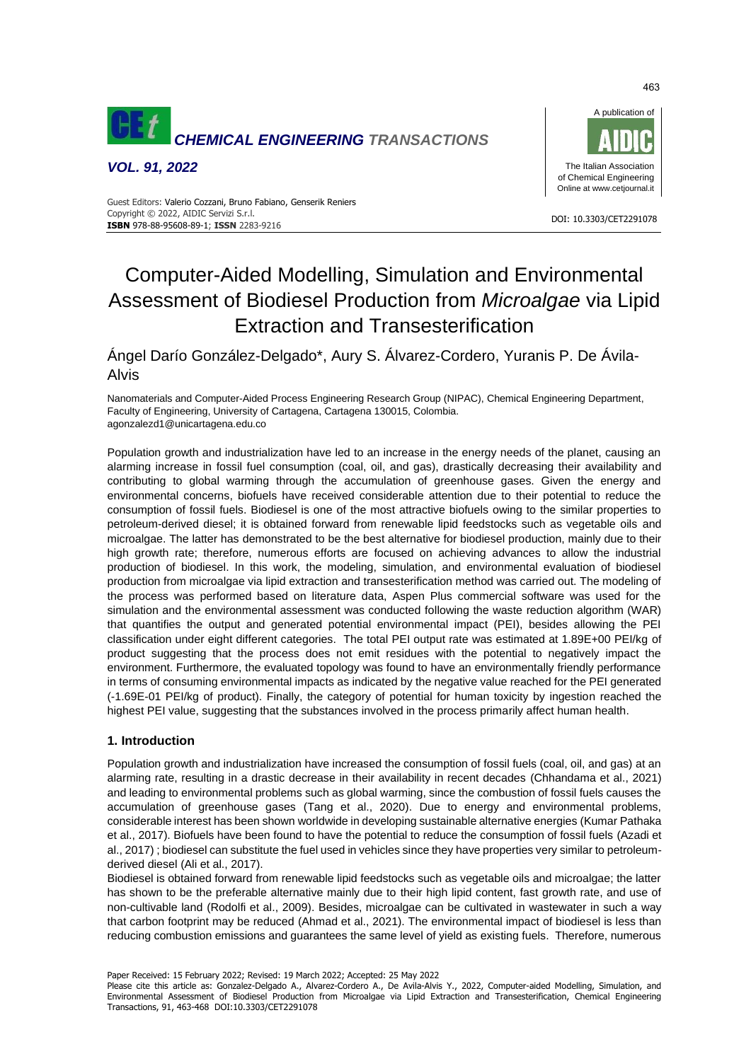

*VOL. 91, 2022*



#### DOI: 10.3303/CET2291078 **ISBN** 978-88-95608-89-1; **ISSN** 2283-9216 Guest Editors: Valerio Cozzani, Bruno Fabiano, Genserik Reniers Copyright © 2022, AIDIC Servizi S.r.l.

# Computer-Aided Modelling, Simulation and Environmental Assessment of Biodiesel Production from *Microalgae* via Lipid Extraction and Transesterification

Ángel Darío González-Delgado\*, Aury S. Álvarez-Cordero, Yuranis P. De Ávila-Alvis

Nanomaterials and Computer-Aided Process Engineering Research Group (NIPAC), Chemical Engineering Department, Faculty of Engineering, University of Cartagena, Cartagena 130015, Colombia. agonzalezd1@unicartagena.edu.co

Population growth and industrialization have led to an increase in the energy needs of the planet, causing an alarming increase in fossil fuel consumption (coal, oil, and gas), drastically decreasing their availability and contributing to global warming through the accumulation of greenhouse gases. Given the energy and environmental concerns, biofuels have received considerable attention due to their potential to reduce the consumption of fossil fuels. Biodiesel is one of the most attractive biofuels owing to the similar properties to petroleum-derived diesel; it is obtained forward from renewable lipid feedstocks such as vegetable oils and microalgae. The latter has demonstrated to be the best alternative for biodiesel production, mainly due to their high growth rate; therefore, numerous efforts are focused on achieving advances to allow the industrial production of biodiesel. In this work, the modeling, simulation, and environmental evaluation of biodiesel production from microalgae via lipid extraction and transesterification method was carried out. The modeling of the process was performed based on literature data, Aspen Plus commercial software was used for the simulation and the environmental assessment was conducted following the waste reduction algorithm (WAR) that quantifies the output and generated potential environmental impact (PEI), besides allowing the PEI classification under eight different categories. The total PEI output rate was estimated at 1.89E+00 PEI/kg of product suggesting that the process does not emit residues with the potential to negatively impact the environment. Furthermore, the evaluated topology was found to have an environmentally friendly performance in terms of consuming environmental impacts as indicated by the negative value reached for the PEI generated (-1.69E-01 PEI/kg of product). Finally, the category of potential for human toxicity by ingestion reached the highest PEI value, suggesting that the substances involved in the process primarily affect human health.

# **1. Introduction**

Population growth and industrialization have increased the consumption of fossil fuels (coal, oil, and gas) at an alarming rate, resulting in a drastic decrease in their availability in recent decades (Chhandama et al., 2021) and leading to environmental problems such as global warming, since the combustion of fossil fuels causes the accumulation of greenhouse gases (Tang et al., 2020). Due to energy and environmental problems, considerable interest has been shown worldwide in developing sustainable alternative energies (Kumar Pathaka et al., 2017). Biofuels have been found to have the potential to reduce the consumption of fossil fuels (Azadi et al., 2017) ; biodiesel can substitute the fuel used in vehicles since they have properties very similar to petroleumderived diesel (Ali et al., 2017).

Biodiesel is obtained forward from renewable lipid feedstocks such as vegetable oils and microalgae; the latter has shown to be the preferable alternative mainly due to their high lipid content, fast growth rate, and use of non-cultivable land (Rodolfi et al., 2009). Besides, microalgae can be cultivated in wastewater in such a way that carbon footprint may be reduced (Ahmad et al., 2021). The environmental impact of biodiesel is less than reducing combustion emissions and guarantees the same level of yield as existing fuels. Therefore, numerous

Paper Received: 15 February 2022; Revised: 19 March 2022; Accepted: 25 May 2022

Please cite this article as: Gonzalez-Delgado A., Alvarez-Cordero A., De Avila-Alvis Y., 2022, Computer-aided Modelling, Simulation, and Environmental Assessment of Biodiesel Production from Microalgae via Lipid Extraction and Transesterification, Chemical Engineering Transactions, 91, 463-468 DOI:10.3303/CET2291078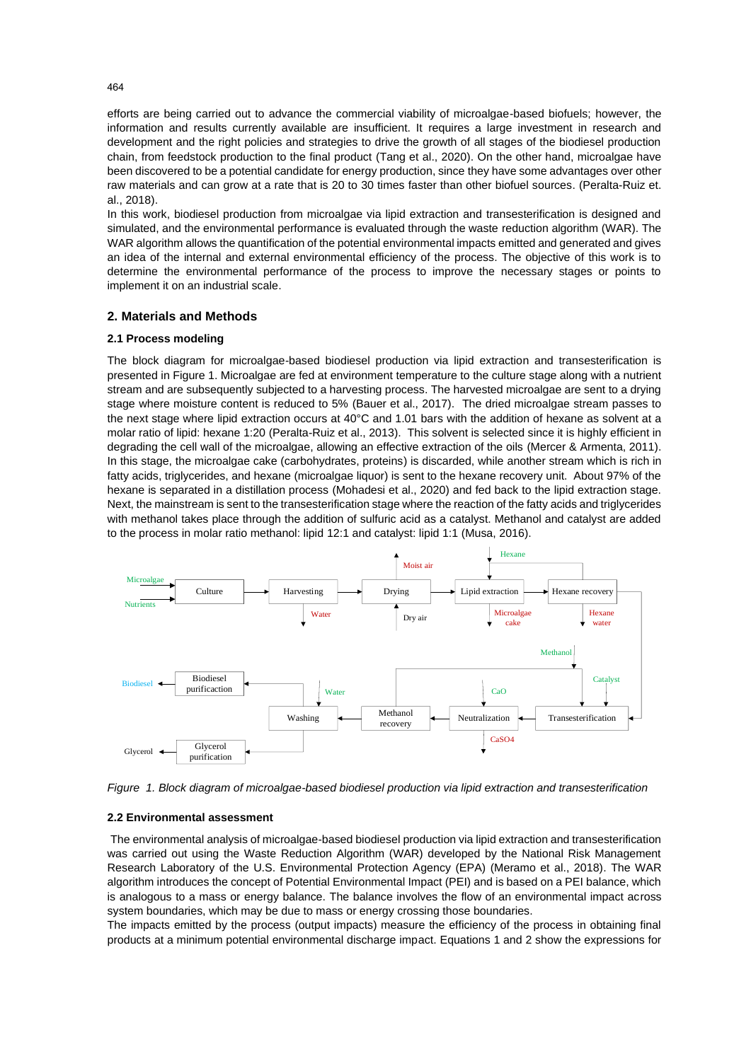efforts are being carried out to advance the commercial viability of microalgae-based biofuels; however, the information and results currently available are insufficient. It requires a large investment in research and development and the right policies and strategies to drive the growth of all stages of the biodiesel production chain, from feedstock production to the final product (Tang et al., 2020). On the other hand, microalgae have been discovered to be a potential candidate for energy production, since they have some advantages over other raw materials and can grow at a rate that is 20 to 30 times faster than other biofuel sources. (Peralta-Ruiz et. al., 2018).

In this work, biodiesel production from microalgae via lipid extraction and transesterification is designed and simulated, and the environmental performance is evaluated through the waste reduction algorithm (WAR). The WAR algorithm allows the quantification of the potential environmental impacts emitted and generated and gives an idea of the internal and external environmental efficiency of the process. The objective of this work is to determine the environmental performance of the process to improve the necessary stages or points to implement it on an industrial scale.

# **2. Materials and Methods**

## **2.1 Process modeling**

The block diagram for microalgae-based biodiesel production via lipid extraction and transesterification is presented in Figure 1. Microalgae are fed at environment temperature to the culture stage along with a nutrient stream and are subsequently subjected to a harvesting process. The harvested microalgae are sent to a drying stage where moisture content is reduced to 5% (Bauer et al., 2017). The dried microalgae stream passes to the next stage where lipid extraction occurs at 40°C and 1.01 bars with the addition of hexane as solvent at a molar ratio of lipid: hexane 1:20 (Peralta-Ruiz et al., 2013). This solvent is selected since it is highly efficient in degrading the cell wall of the microalgae, allowing an effective extraction of the oils (Mercer & Armenta, 2011). In this stage, the microalgae cake (carbohydrates, proteins) is discarded, while another stream which is rich in fatty acids, triglycerides, and hexane (microalgae liquor) is sent to the hexane recovery unit. About 97% of the hexane is separated in a distillation process (Mohadesi et al., 2020) and fed back to the lipid extraction stage. Next, the mainstream is sent to the transesterification stage where the reaction of the fatty acids and triglycerides with methanol takes place through the addition of sulfuric acid as a catalyst. Methanol and catalyst are added to the process in molar ratio methanol: lipid 12:1 and catalyst: lipid 1:1 (Musa, 2016).



*Figure 1. Block diagram of microalgae-based biodiesel production via lipid extraction and transesterification* 

#### **2.2 Environmental assessment**

The environmental analysis of microalgae-based biodiesel production via lipid extraction and transesterification was carried out using the Waste Reduction Algorithm (WAR) developed by the National Risk Management Research Laboratory of the U.S. Environmental Protection Agency (EPA) (Meramo et al., 2018). The WAR algorithm introduces the concept of Potential Environmental Impact (PEI) and is based on a PEI balance, which is analogous to a mass or energy balance. The balance involves the flow of an environmental impact across system boundaries, which may be due to mass or energy crossing those boundaries.

The impacts emitted by the process (output impacts) measure the efficiency of the process in obtaining final products at a minimum potential environmental discharge impact. Equations 1 and 2 show the expressions for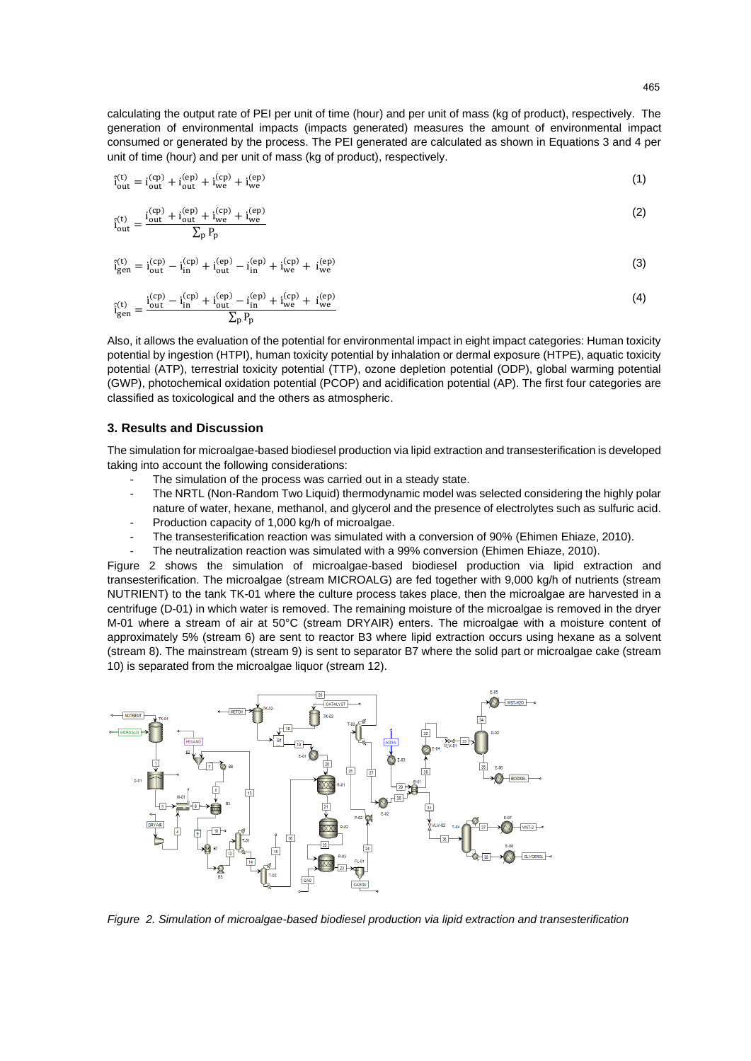calculating the output rate of PEI per unit of time (hour) and per unit of mass (kg of product), respectively. The generation of environmental impacts (impacts generated) measures the amount of environmental impact consumed or generated by the process. The PEI generated are calculated as shown in Equations 3 and 4 per unit of time (hour) and per unit of mass (kg of product), respectively.

$$
\hat{i}_{out}^{(t)} = i_{out}^{(cp)} + i_{out}^{(ep)} + i_{we}^{(ep)}
$$
(1)

$$
\hat{i}_{out}^{(t)} = \frac{i_{out}^{(cp)} + i_{out}^{(cp)} + i_{we}^{(cp)}}{\sum_{p} P_{p}}
$$
(2)

$$
\hat{i}_{gen}^{(t)} = i_{out}^{(cp)} - i_{in}^{(cp)} + i_{out}^{(ep)} - i_{in}^{(ep)} + i_{we}^{(ep)} + i_{we}^{(ep)}
$$
(3)

$$
\hat{i}_{gen}^{(t)} = \frac{i_{out}^{(cp)} - i_{in}^{(cp)} + i_{out}^{(ep)} - i_{in}^{(ep)} + i_{we}^{(ep)} + i_{we}^{(ep)}}{\sum_{p} P_{p}}
$$
(4)

Also, it allows the evaluation of the potential for environmental impact in eight impact categories: Human toxicity potential by ingestion (HTPI), human toxicity potential by inhalation or dermal exposure (HTPE), aquatic toxicity potential (ATP), terrestrial toxicity potential (TTP), ozone depletion potential (ODP), global warming potential (GWP), photochemical oxidation potential (PCOP) and acidification potential (AP). The first four categories are classified as toxicological and the others as atmospheric.

## **3. Results and Discussion**

The simulation for microalgae-based biodiesel production via lipid extraction and transesterification is developed taking into account the following considerations:

- The simulation of the process was carried out in a steady state.
- The NRTL (Non-Random Two Liquid) thermodynamic model was selected considering the highly polar nature of water, hexane, methanol, and glycerol and the presence of electrolytes such as sulfuric acid.
- Production capacity of 1,000 kg/h of microalgae.
- The transesterification reaction was simulated with a conversion of 90% (Ehimen Ehiaze, 2010).
- The neutralization reaction was simulated with a 99% conversion (Ehimen Ehiaze, 2010).

Figure 2 shows the simulation of microalgae-based biodiesel production via lipid extraction and transesterification. The microalgae (stream MICROALG) are fed together with 9,000 kg/h of nutrients (stream NUTRIENT) to the tank TK-01 where the culture process takes place, then the microalgae are harvested in a centrifuge (D-01) in which water is removed. The remaining moisture of the microalgae is removed in the dryer M-01 where a stream of air at 50°C (stream DRYAIR) enters. The microalgae with a moisture content of approximately 5% (stream 6) are sent to reactor B3 where lipid extraction occurs using hexane as a solvent (stream 8). The mainstream (stream 9) is sent to separator B7 where the solid part or microalgae cake (stream 10) is separated from the microalgae liquor (stream 12).



*Figure 2. Simulation of microalgae-based biodiesel production via lipid extraction and transesterification*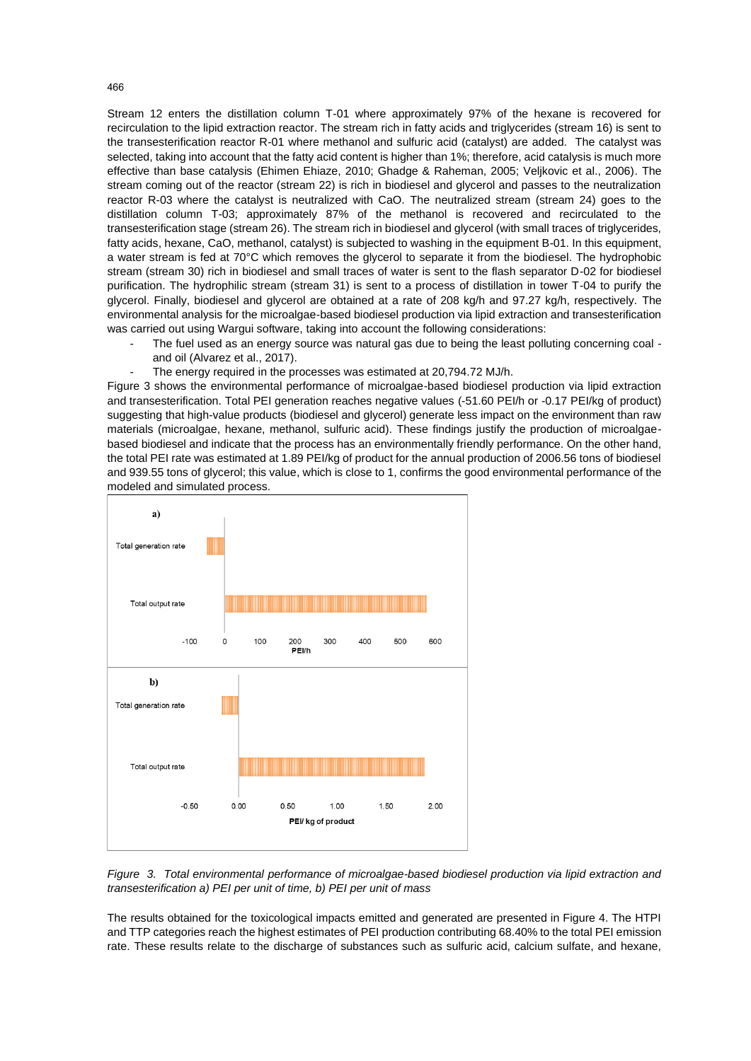Stream 12 enters the distillation column T-01 where approximately 97% of the hexane is recovered for recirculation to the lipid extraction reactor. The stream rich in fatty acids and triglycerides (stream 16) is sent to the transesterification reactor R-01 where methanol and sulfuric acid (catalyst) are added. The catalyst was selected, taking into account that the fatty acid content is higher than 1%; therefore, acid catalysis is much more effective than base catalysis (Ehimen Ehiaze, 2010; Ghadge & Raheman, 2005; Veljkovic et al., 2006). The stream coming out of the reactor (stream 22) is rich in biodiesel and glycerol and passes to the neutralization reactor R-03 where the catalyst is neutralized with CaO. The neutralized stream (stream 24) goes to the distillation column T-03; approximately 87% of the methanol is recovered and recirculated to the transesterification stage (stream 26). The stream rich in biodiesel and glycerol (with small traces of triglycerides, fatty acids, hexane, CaO, methanol, catalyst) is subjected to washing in the equipment B-01. In this equipment, a water stream is fed at 70°C which removes the glycerol to separate it from the biodiesel. The hydrophobic stream (stream 30) rich in biodiesel and small traces of water is sent to the flash separator D-02 for biodiesel purification. The hydrophilic stream (stream 31) is sent to a process of distillation in tower T-04 to purify the glycerol. Finally, biodiesel and glycerol are obtained at a rate of 208 kg/h and 97.27 kg/h, respectively. The environmental analysis for the microalgae-based biodiesel production via lipid extraction and transesterification was carried out using Wargui software, taking into account the following considerations:

- The fuel used as an energy source was natural gas due to being the least polluting concerning coal and oil (Alvarez et al., 2017).
	-

The energy required in the processes was estimated at 20,794.72 MJ/h. Figure 3 shows the environmental performance of microalgae-based biodiesel production via lipid extraction and transesterification. Total PEI generation reaches negative values (-51.60 PEI/h or -0.17 PEI/kg of product) suggesting that high-value products (biodiesel and glycerol) generate less impact on the environment than raw materials (microalgae, hexane, methanol, sulfuric acid). These findings justify the production of microalgaebased biodiesel and indicate that the process has an environmentally friendly performance. On the other hand, the total PEI rate was estimated at 1.89 PEI/kg of product for the annual production of 2006.56 tons of biodiesel and 939.55 tons of glycerol; this value, which is close to 1, confirms the good environmental performance of the modeled and simulated process.

a) Total generation rate Total output rate  $-100$  $\circ$ 100 200 300 400 500 600 PEI/h  $\mathbf{b}$ Total generation rate Total output rate  $-0.50$  $0.00$  $0.50$  $1.00$ 1.50  $2.00$ PEI/ kg of product

*Figure 3. Total environmental performance of microalgae-based biodiesel production via lipid extraction and transesterification a) PEI per unit of time, b) PEI per unit of mass*

The results obtained for the toxicological impacts emitted and generated are presented in Figure 4. The HTPI and TTP categories reach the highest estimates of PEI production contributing 68.40% to the total PEI emission rate. These results relate to the discharge of substances such as sulfuric acid, calcium sulfate, and hexane,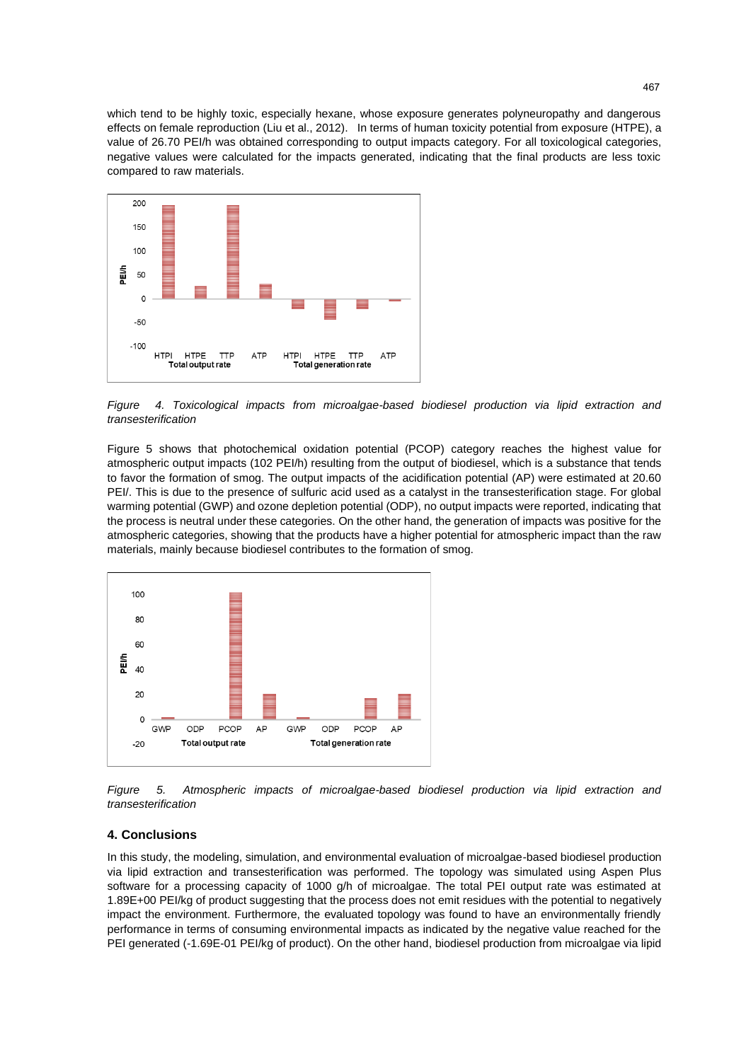which tend to be highly toxic, especially hexane, whose exposure generates polyneuropathy and dangerous effects on female reproduction (Liu et al., 2012). In terms of human toxicity potential from exposure (HTPE), a value of 26.70 PEI/h was obtained corresponding to output impacts category. For all toxicological categories, negative values were calculated for the impacts generated, indicating that the final products are less toxic compared to raw materials.



*Figure 4. Toxicological impacts from microalgae-based biodiesel production via lipid extraction and transesterification*

Figure 5 shows that photochemical oxidation potential (PCOP) category reaches the highest value for atmospheric output impacts (102 PEI/h) resulting from the output of biodiesel, which is a substance that tends to favor the formation of smog. The output impacts of the acidification potential (AP) were estimated at 20.60 PEI/. This is due to the presence of sulfuric acid used as a catalyst in the transesterification stage. For global warming potential (GWP) and ozone depletion potential (ODP), no output impacts were reported, indicating that the process is neutral under these categories. On the other hand, the generation of impacts was positive for the atmospheric categories, showing that the products have a higher potential for atmospheric impact than the raw materials, mainly because biodiesel contributes to the formation of smog.



*Figure 5. Atmospheric impacts of microalgae-based biodiesel production via lipid extraction and transesterification*

## **4. Conclusions**

In this study, the modeling, simulation, and environmental evaluation of microalgae-based biodiesel production via lipid extraction and transesterification was performed. The topology was simulated using Aspen Plus software for a processing capacity of 1000 g/h of microalgae. The total PEI output rate was estimated at 1.89E+00 PEI/kg of product suggesting that the process does not emit residues with the potential to negatively impact the environment. Furthermore, the evaluated topology was found to have an environmentally friendly performance in terms of consuming environmental impacts as indicated by the negative value reached for the PEI generated (-1.69E-01 PEI/kg of product). On the other hand, biodiesel production from microalgae via lipid